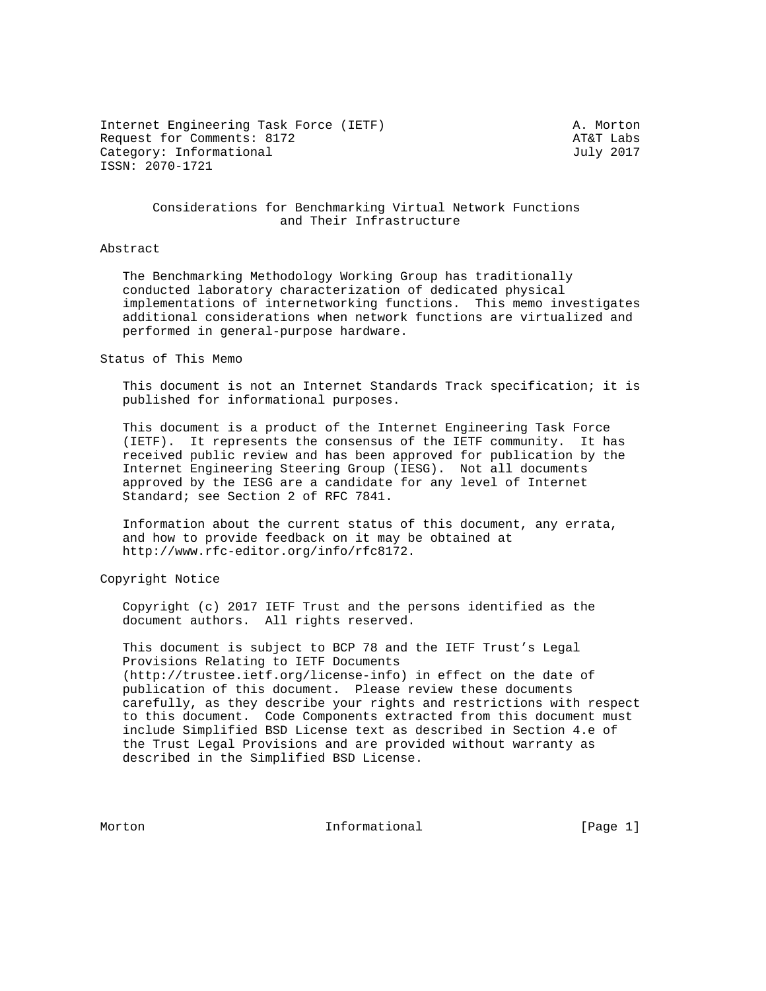Internet Engineering Task Force (IETF) A. Morton Request for Comments: 8172 AT&T Labs Category: Informational distribution of the United Stategory: July 2017 ISSN: 2070-1721

## Considerations for Benchmarking Virtual Network Functions and Their Infrastructure

## Abstract

 The Benchmarking Methodology Working Group has traditionally conducted laboratory characterization of dedicated physical implementations of internetworking functions. This memo investigates additional considerations when network functions are virtualized and performed in general-purpose hardware.

Status of This Memo

 This document is not an Internet Standards Track specification; it is published for informational purposes.

 This document is a product of the Internet Engineering Task Force (IETF). It represents the consensus of the IETF community. It has received public review and has been approved for publication by the Internet Engineering Steering Group (IESG). Not all documents approved by the IESG are a candidate for any level of Internet Standard; see Section 2 of RFC 7841.

 Information about the current status of this document, any errata, and how to provide feedback on it may be obtained at http://www.rfc-editor.org/info/rfc8172.

Copyright Notice

 Copyright (c) 2017 IETF Trust and the persons identified as the document authors. All rights reserved.

 This document is subject to BCP 78 and the IETF Trust's Legal Provisions Relating to IETF Documents (http://trustee.ietf.org/license-info) in effect on the date of publication of this document. Please review these documents carefully, as they describe your rights and restrictions with respect to this document. Code Components extracted from this document must include Simplified BSD License text as described in Section 4.e of the Trust Legal Provisions and are provided without warranty as described in the Simplified BSD License.

Morton **Informational Informational** [Page 1]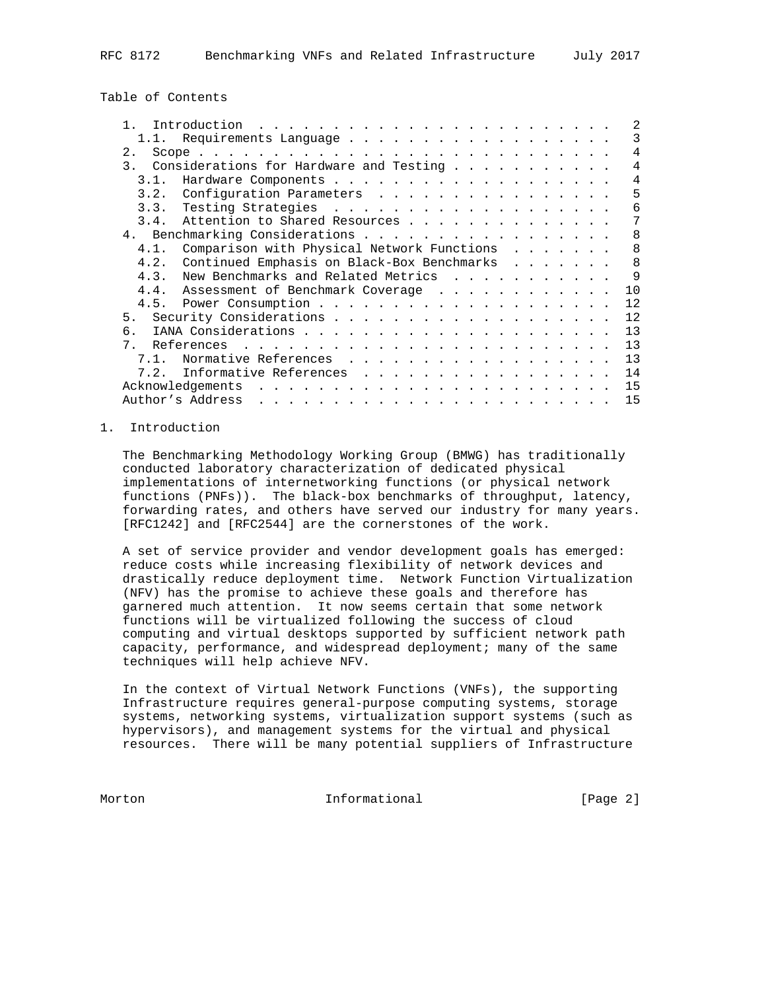Table of Contents

|                                                                                                                                                 |  |  |  | 2              |
|-------------------------------------------------------------------------------------------------------------------------------------------------|--|--|--|----------------|
| Requirements Language                                                                                                                           |  |  |  | 3              |
| 2.                                                                                                                                              |  |  |  | 4              |
| Considerations for Hardware and Testing<br>$\mathcal{E}$                                                                                        |  |  |  | $\overline{4}$ |
| 3.1.                                                                                                                                            |  |  |  | 4              |
| 3.2.<br>Configuration Parameters                                                                                                                |  |  |  | 5              |
|                                                                                                                                                 |  |  |  | 6              |
| Attention to Shared Resources<br>3.4.                                                                                                           |  |  |  | 7              |
| 4. Benchmarking Considerations                                                                                                                  |  |  |  | 8              |
| Comparison with Physical Network Functions<br>4.1.                                                                                              |  |  |  | 8              |
| Continued Emphasis on Black-Box Benchmarks<br>4.2.                                                                                              |  |  |  | 8              |
| New Benchmarks and Related Metrics<br>4.3.                                                                                                      |  |  |  | 9              |
| 4.4.<br>Assessment of Benchmark Coverage                                                                                                        |  |  |  | 10             |
|                                                                                                                                                 |  |  |  | 12             |
| 5.                                                                                                                                              |  |  |  | 12             |
| б.                                                                                                                                              |  |  |  | 13             |
| 7 <sup>1</sup><br>References<br>the contract of the contract of the contract of the contract of the contract of the contract of the contract of |  |  |  | 13             |
| Normative References<br>7 1                                                                                                                     |  |  |  | 13             |
| Informative References<br>7.2.                                                                                                                  |  |  |  | 14             |
| Acknowledgements                                                                                                                                |  |  |  | 15             |
| Author's Address<br>المنافر والمنافر والمنافر والمنافر والمنافر والمنافر والمنافر والمنافر والمنافر والمنافر والمنافر                           |  |  |  | 15             |

# 1. Introduction

 The Benchmarking Methodology Working Group (BMWG) has traditionally conducted laboratory characterization of dedicated physical implementations of internetworking functions (or physical network functions (PNFs)). The black-box benchmarks of throughput, latency, forwarding rates, and others have served our industry for many years. [RFC1242] and [RFC2544] are the cornerstones of the work.

 A set of service provider and vendor development goals has emerged: reduce costs while increasing flexibility of network devices and drastically reduce deployment time. Network Function Virtualization (NFV) has the promise to achieve these goals and therefore has garnered much attention. It now seems certain that some network functions will be virtualized following the success of cloud computing and virtual desktops supported by sufficient network path capacity, performance, and widespread deployment; many of the same techniques will help achieve NFV.

 In the context of Virtual Network Functions (VNFs), the supporting Infrastructure requires general-purpose computing systems, storage systems, networking systems, virtualization support systems (such as hypervisors), and management systems for the virtual and physical resources. There will be many potential suppliers of Infrastructure

Morton **Informational Informational** [Page 2]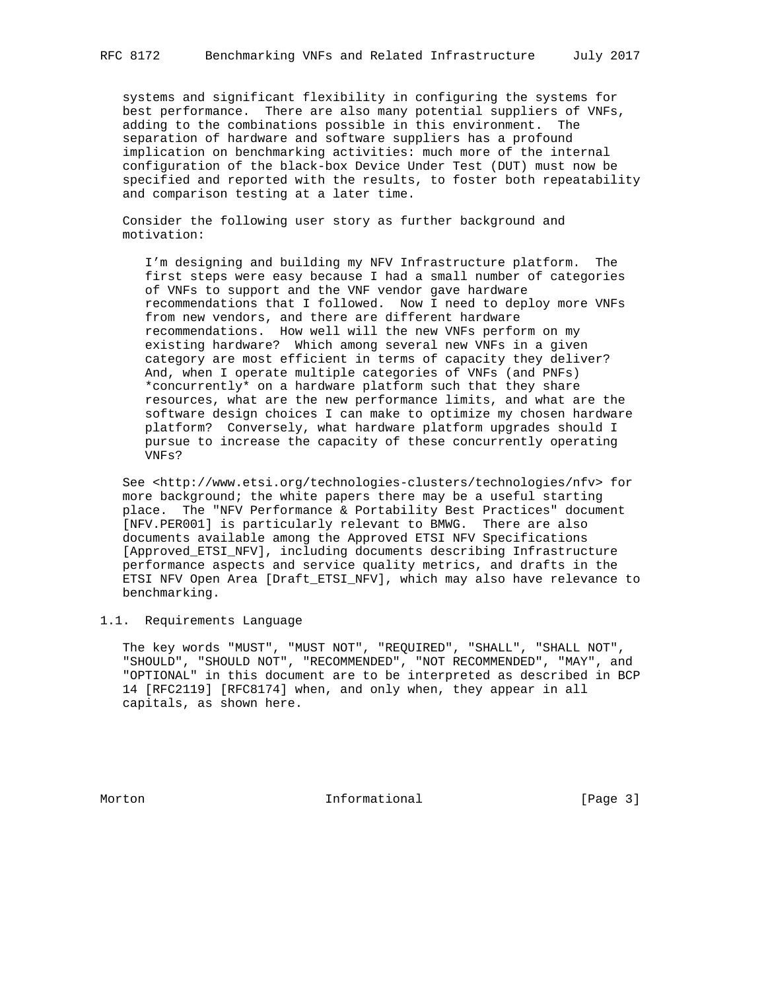systems and significant flexibility in configuring the systems for best performance. There are also many potential suppliers of VNFs, adding to the combinations possible in this environment. The separation of hardware and software suppliers has a profound implication on benchmarking activities: much more of the internal configuration of the black-box Device Under Test (DUT) must now be specified and reported with the results, to foster both repeatability and comparison testing at a later time.

 Consider the following user story as further background and motivation:

 I'm designing and building my NFV Infrastructure platform. The first steps were easy because I had a small number of categories of VNFs to support and the VNF vendor gave hardware recommendations that I followed. Now I need to deploy more VNFs from new vendors, and there are different hardware recommendations. How well will the new VNFs perform on my existing hardware? Which among several new VNFs in a given category are most efficient in terms of capacity they deliver? And, when I operate multiple categories of VNFs (and PNFs) \*concurrently\* on a hardware platform such that they share resources, what are the new performance limits, and what are the software design choices I can make to optimize my chosen hardware platform? Conversely, what hardware platform upgrades should I pursue to increase the capacity of these concurrently operating VNFs?

 See <http://www.etsi.org/technologies-clusters/technologies/nfv> for more background; the white papers there may be a useful starting place. The "NFV Performance & Portability Best Practices" document [NFV.PER001] is particularly relevant to BMWG. There are also documents available among the Approved ETSI NFV Specifications [Approved\_ETSI\_NFV], including documents describing Infrastructure performance aspects and service quality metrics, and drafts in the ETSI NFV Open Area [Draft\_ETSI\_NFV], which may also have relevance to benchmarking.

## 1.1. Requirements Language

 The key words "MUST", "MUST NOT", "REQUIRED", "SHALL", "SHALL NOT", "SHOULD", "SHOULD NOT", "RECOMMENDED", "NOT RECOMMENDED", "MAY", and "OPTIONAL" in this document are to be interpreted as described in BCP 14 [RFC2119] [RFC8174] when, and only when, they appear in all capitals, as shown here.

Morton **Informational Informational** [Page 3]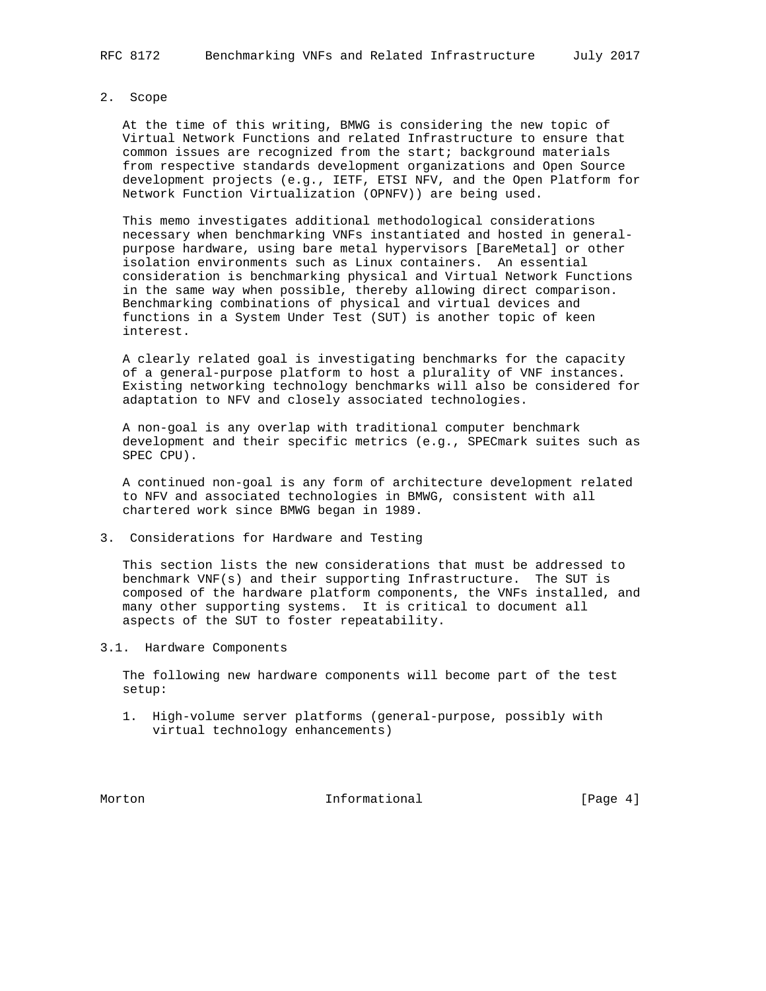#### 2. Scope

 At the time of this writing, BMWG is considering the new topic of Virtual Network Functions and related Infrastructure to ensure that common issues are recognized from the start; background materials from respective standards development organizations and Open Source development projects (e.g., IETF, ETSI NFV, and the Open Platform for Network Function Virtualization (OPNFV)) are being used.

 This memo investigates additional methodological considerations necessary when benchmarking VNFs instantiated and hosted in general purpose hardware, using bare metal hypervisors [BareMetal] or other isolation environments such as Linux containers. An essential consideration is benchmarking physical and Virtual Network Functions in the same way when possible, thereby allowing direct comparison. Benchmarking combinations of physical and virtual devices and functions in a System Under Test (SUT) is another topic of keen interest.

 A clearly related goal is investigating benchmarks for the capacity of a general-purpose platform to host a plurality of VNF instances. Existing networking technology benchmarks will also be considered for adaptation to NFV and closely associated technologies.

 A non-goal is any overlap with traditional computer benchmark development and their specific metrics (e.g., SPECmark suites such as SPEC CPU).

 A continued non-goal is any form of architecture development related to NFV and associated technologies in BMWG, consistent with all chartered work since BMWG began in 1989.

3. Considerations for Hardware and Testing

 This section lists the new considerations that must be addressed to benchmark VNF(s) and their supporting Infrastructure. The SUT is composed of the hardware platform components, the VNFs installed, and many other supporting systems. It is critical to document all aspects of the SUT to foster repeatability.

3.1. Hardware Components

 The following new hardware components will become part of the test setup:

 1. High-volume server platforms (general-purpose, possibly with virtual technology enhancements)

Morton **Informational Informational** [Page 4]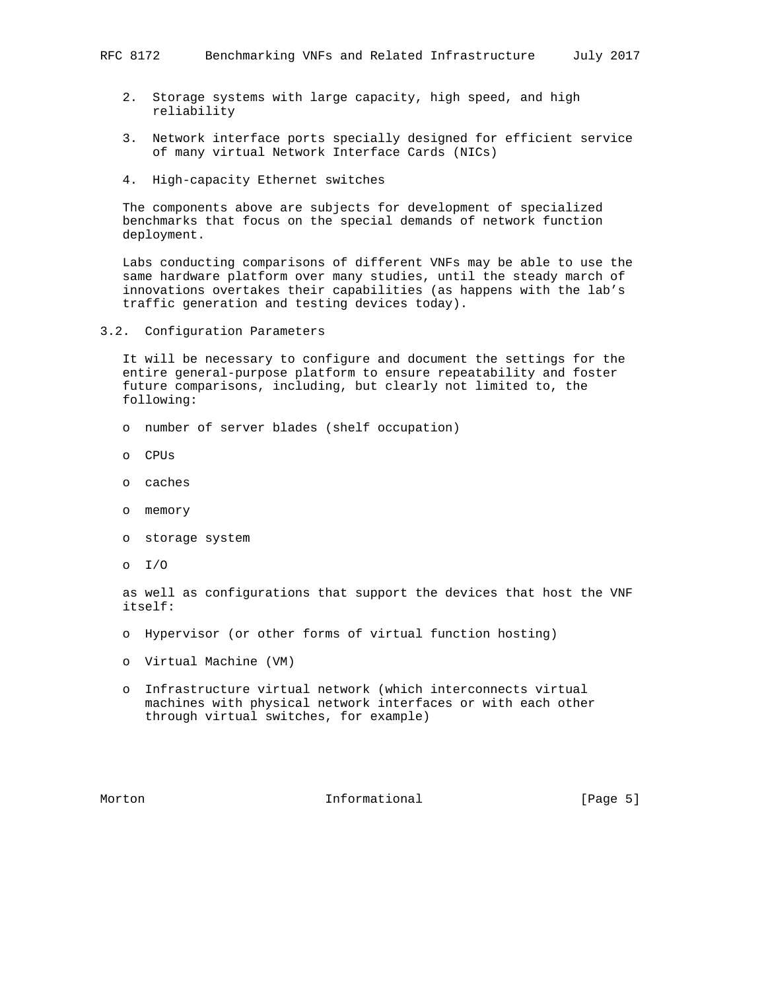- 2. Storage systems with large capacity, high speed, and high reliability
- 3. Network interface ports specially designed for efficient service of many virtual Network Interface Cards (NICs)
- 4. High-capacity Ethernet switches

 The components above are subjects for development of specialized benchmarks that focus on the special demands of network function deployment.

 Labs conducting comparisons of different VNFs may be able to use the same hardware platform over many studies, until the steady march of innovations overtakes their capabilities (as happens with the lab's traffic generation and testing devices today).

3.2. Configuration Parameters

 It will be necessary to configure and document the settings for the entire general-purpose platform to ensure repeatability and foster future comparisons, including, but clearly not limited to, the following:

- o number of server blades (shelf occupation)
- o CPUs
- o caches
- o memory
- o storage system
- o I/O

 as well as configurations that support the devices that host the VNF itself:

- o Hypervisor (or other forms of virtual function hosting)
- o Virtual Machine (VM)
- o Infrastructure virtual network (which interconnects virtual machines with physical network interfaces or with each other through virtual switches, for example)

Morton **Informational Informational** [Page 5]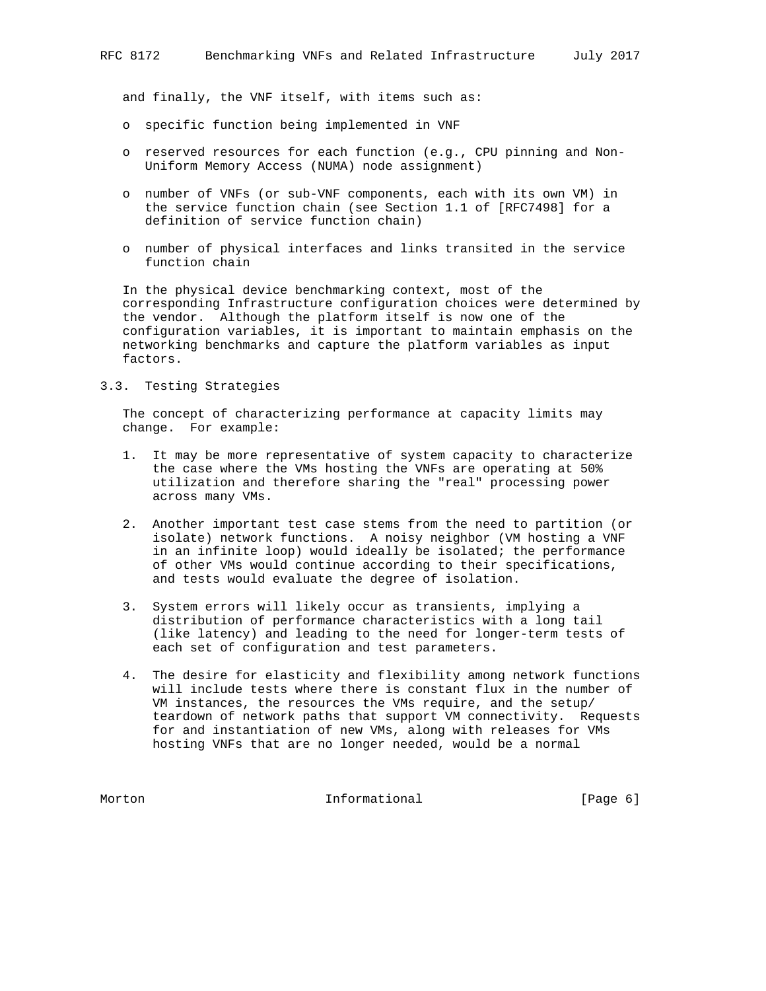and finally, the VNF itself, with items such as:

- o specific function being implemented in VNF
- o reserved resources for each function (e.g., CPU pinning and Non- Uniform Memory Access (NUMA) node assignment)
- o number of VNFs (or sub-VNF components, each with its own VM) in the service function chain (see Section 1.1 of [RFC7498] for a definition of service function chain)
- o number of physical interfaces and links transited in the service function chain

 In the physical device benchmarking context, most of the corresponding Infrastructure configuration choices were determined by the vendor. Although the platform itself is now one of the configuration variables, it is important to maintain emphasis on the networking benchmarks and capture the platform variables as input factors.

# 3.3. Testing Strategies

 The concept of characterizing performance at capacity limits may change. For example:

- 1. It may be more representative of system capacity to characterize the case where the VMs hosting the VNFs are operating at 50% utilization and therefore sharing the "real" processing power across many VMs.
- 2. Another important test case stems from the need to partition (or isolate) network functions. A noisy neighbor (VM hosting a VNF in an infinite loop) would ideally be isolated; the performance of other VMs would continue according to their specifications, and tests would evaluate the degree of isolation.
- 3. System errors will likely occur as transients, implying a distribution of performance characteristics with a long tail (like latency) and leading to the need for longer-term tests of each set of configuration and test parameters.
- 4. The desire for elasticity and flexibility among network functions will include tests where there is constant flux in the number of VM instances, the resources the VMs require, and the setup/ teardown of network paths that support VM connectivity. Requests for and instantiation of new VMs, along with releases for VMs hosting VNFs that are no longer needed, would be a normal

Morton **Informational Informational** [Page 6]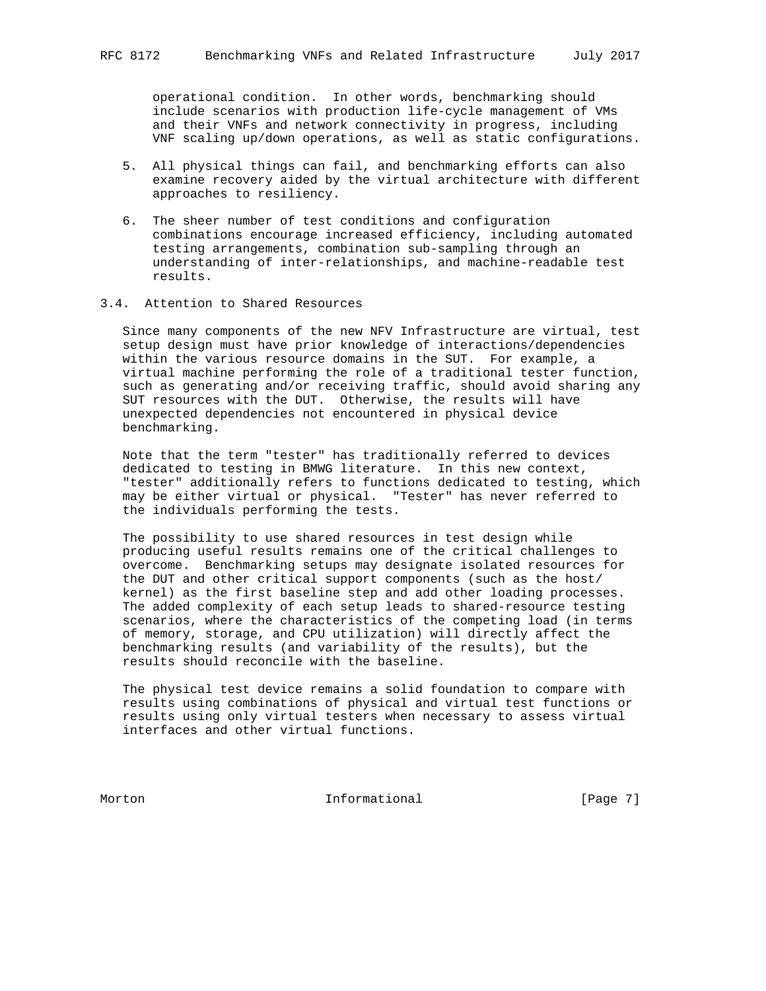operational condition. In other words, benchmarking should include scenarios with production life-cycle management of VMs and their VNFs and network connectivity in progress, including VNF scaling up/down operations, as well as static configurations.

- 5. All physical things can fail, and benchmarking efforts can also examine recovery aided by the virtual architecture with different approaches to resiliency.
- 6. The sheer number of test conditions and configuration combinations encourage increased efficiency, including automated testing arrangements, combination sub-sampling through an understanding of inter-relationships, and machine-readable test results.
- 3.4. Attention to Shared Resources

 Since many components of the new NFV Infrastructure are virtual, test setup design must have prior knowledge of interactions/dependencies within the various resource domains in the SUT. For example, a virtual machine performing the role of a traditional tester function, such as generating and/or receiving traffic, should avoid sharing any SUT resources with the DUT. Otherwise, the results will have unexpected dependencies not encountered in physical device benchmarking.

 Note that the term "tester" has traditionally referred to devices dedicated to testing in BMWG literature. In this new context, "tester" additionally refers to functions dedicated to testing, which may be either virtual or physical. "Tester" has never referred to the individuals performing the tests.

 The possibility to use shared resources in test design while producing useful results remains one of the critical challenges to overcome. Benchmarking setups may designate isolated resources for the DUT and other critical support components (such as the host/ kernel) as the first baseline step and add other loading processes. The added complexity of each setup leads to shared-resource testing scenarios, where the characteristics of the competing load (in terms of memory, storage, and CPU utilization) will directly affect the benchmarking results (and variability of the results), but the results should reconcile with the baseline.

 The physical test device remains a solid foundation to compare with results using combinations of physical and virtual test functions or results using only virtual testers when necessary to assess virtual interfaces and other virtual functions.

Morton **Informational Informational** [Page 7]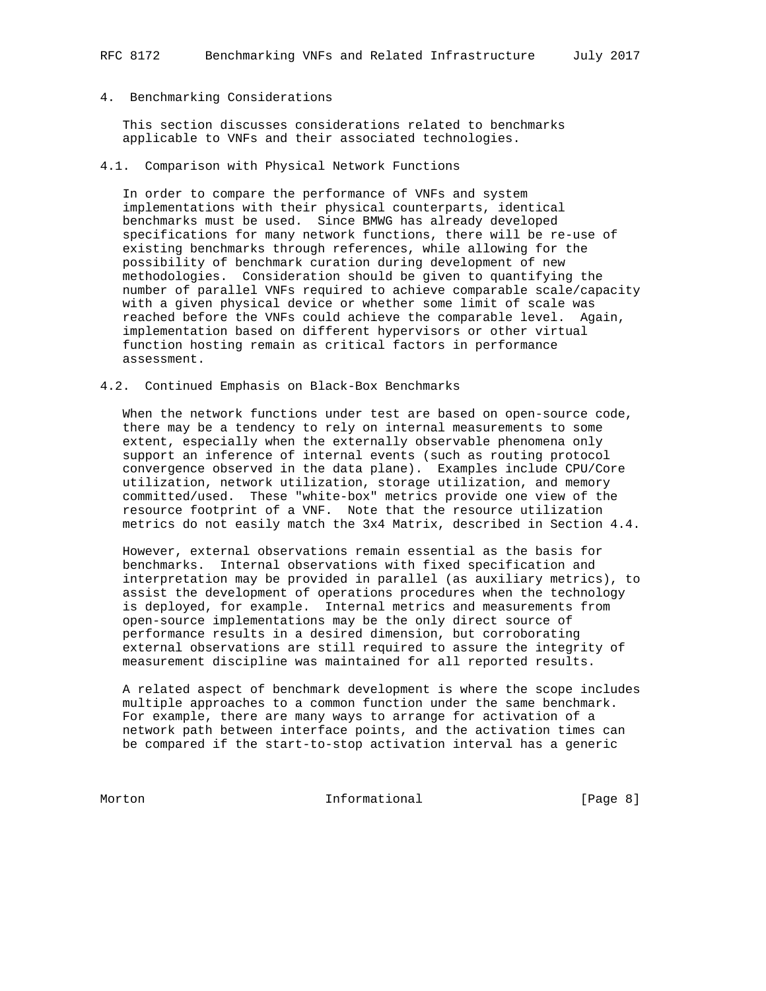# 4. Benchmarking Considerations

 This section discusses considerations related to benchmarks applicable to VNFs and their associated technologies.

4.1. Comparison with Physical Network Functions

 In order to compare the performance of VNFs and system implementations with their physical counterparts, identical benchmarks must be used. Since BMWG has already developed specifications for many network functions, there will be re-use of existing benchmarks through references, while allowing for the possibility of benchmark curation during development of new methodologies. Consideration should be given to quantifying the number of parallel VNFs required to achieve comparable scale/capacity with a given physical device or whether some limit of scale was reached before the VNFs could achieve the comparable level. Again, implementation based on different hypervisors or other virtual function hosting remain as critical factors in performance assessment.

4.2. Continued Emphasis on Black-Box Benchmarks

 When the network functions under test are based on open-source code, there may be a tendency to rely on internal measurements to some extent, especially when the externally observable phenomena only support an inference of internal events (such as routing protocol convergence observed in the data plane). Examples include CPU/Core utilization, network utilization, storage utilization, and memory committed/used. These "white-box" metrics provide one view of the resource footprint of a VNF. Note that the resource utilization metrics do not easily match the 3x4 Matrix, described in Section 4.4.

 However, external observations remain essential as the basis for benchmarks. Internal observations with fixed specification and interpretation may be provided in parallel (as auxiliary metrics), to assist the development of operations procedures when the technology is deployed, for example. Internal metrics and measurements from open-source implementations may be the only direct source of performance results in a desired dimension, but corroborating external observations are still required to assure the integrity of measurement discipline was maintained for all reported results.

 A related aspect of benchmark development is where the scope includes multiple approaches to a common function under the same benchmark. For example, there are many ways to arrange for activation of a network path between interface points, and the activation times can be compared if the start-to-stop activation interval has a generic

Morton **Informational Informational** [Page 8]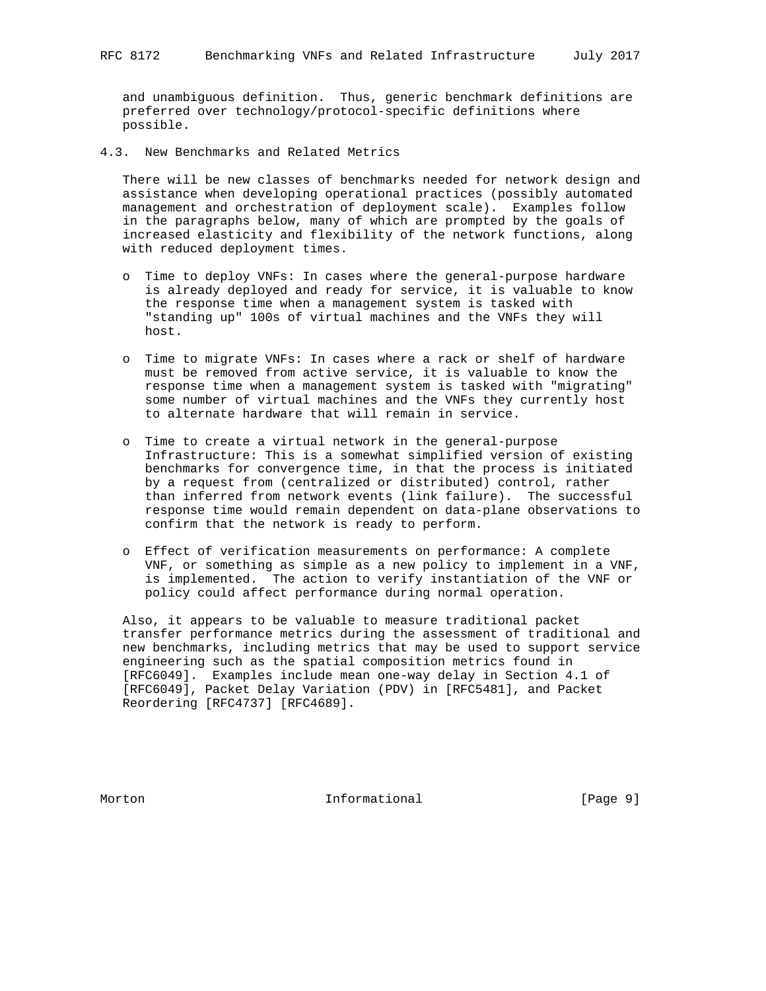and unambiguous definition. Thus, generic benchmark definitions are preferred over technology/protocol-specific definitions where possible.

4.3. New Benchmarks and Related Metrics

 There will be new classes of benchmarks needed for network design and assistance when developing operational practices (possibly automated management and orchestration of deployment scale). Examples follow in the paragraphs below, many of which are prompted by the goals of increased elasticity and flexibility of the network functions, along with reduced deployment times.

- o Time to deploy VNFs: In cases where the general-purpose hardware is already deployed and ready for service, it is valuable to know the response time when a management system is tasked with "standing up" 100s of virtual machines and the VNFs they will host.
- o Time to migrate VNFs: In cases where a rack or shelf of hardware must be removed from active service, it is valuable to know the response time when a management system is tasked with "migrating" some number of virtual machines and the VNFs they currently host to alternate hardware that will remain in service.
- o Time to create a virtual network in the general-purpose Infrastructure: This is a somewhat simplified version of existing benchmarks for convergence time, in that the process is initiated by a request from (centralized or distributed) control, rather than inferred from network events (link failure). The successful response time would remain dependent on data-plane observations to confirm that the network is ready to perform.
- o Effect of verification measurements on performance: A complete VNF, or something as simple as a new policy to implement in a VNF, is implemented. The action to verify instantiation of the VNF or policy could affect performance during normal operation.

 Also, it appears to be valuable to measure traditional packet transfer performance metrics during the assessment of traditional and new benchmarks, including metrics that may be used to support service engineering such as the spatial composition metrics found in [RFC6049]. Examples include mean one-way delay in Section 4.1 of [RFC6049], Packet Delay Variation (PDV) in [RFC5481], and Packet Reordering [RFC4737] [RFC4689].

Morton **Informational Informational** [Page 9]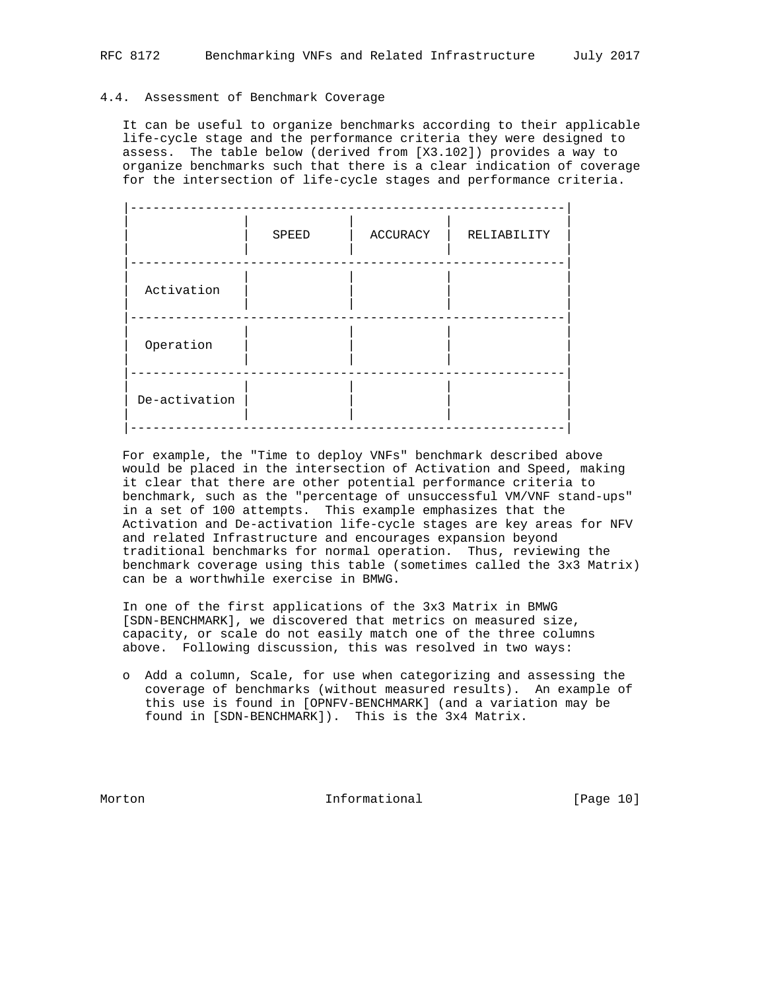## 4.4. Assessment of Benchmark Coverage

 It can be useful to organize benchmarks according to their applicable life-cycle stage and the performance criteria they were designed to assess. The table below (derived from [X3.102]) provides a way to organize benchmarks such that there is a clear indication of coverage for the intersection of life-cycle stages and performance criteria.

|               | SPEED | ACCURACY | RELIABILITY |
|---------------|-------|----------|-------------|
| Activation    |       |          |             |
| Operation     |       |          |             |
| De-activation |       |          |             |

 For example, the "Time to deploy VNFs" benchmark described above would be placed in the intersection of Activation and Speed, making it clear that there are other potential performance criteria to benchmark, such as the "percentage of unsuccessful VM/VNF stand-ups" in a set of 100 attempts. This example emphasizes that the Activation and De-activation life-cycle stages are key areas for NFV and related Infrastructure and encourages expansion beyond traditional benchmarks for normal operation. Thus, reviewing the benchmark coverage using this table (sometimes called the 3x3 Matrix) can be a worthwhile exercise in BMWG.

 In one of the first applications of the 3x3 Matrix in BMWG [SDN-BENCHMARK], we discovered that metrics on measured size, capacity, or scale do not easily match one of the three columns above. Following discussion, this was resolved in two ways:

 o Add a column, Scale, for use when categorizing and assessing the coverage of benchmarks (without measured results). An example of this use is found in [OPNFV-BENCHMARK] (and a variation may be found in [SDN-BENCHMARK]). This is the 3x4 Matrix.

Morton **Informational** [Page 10]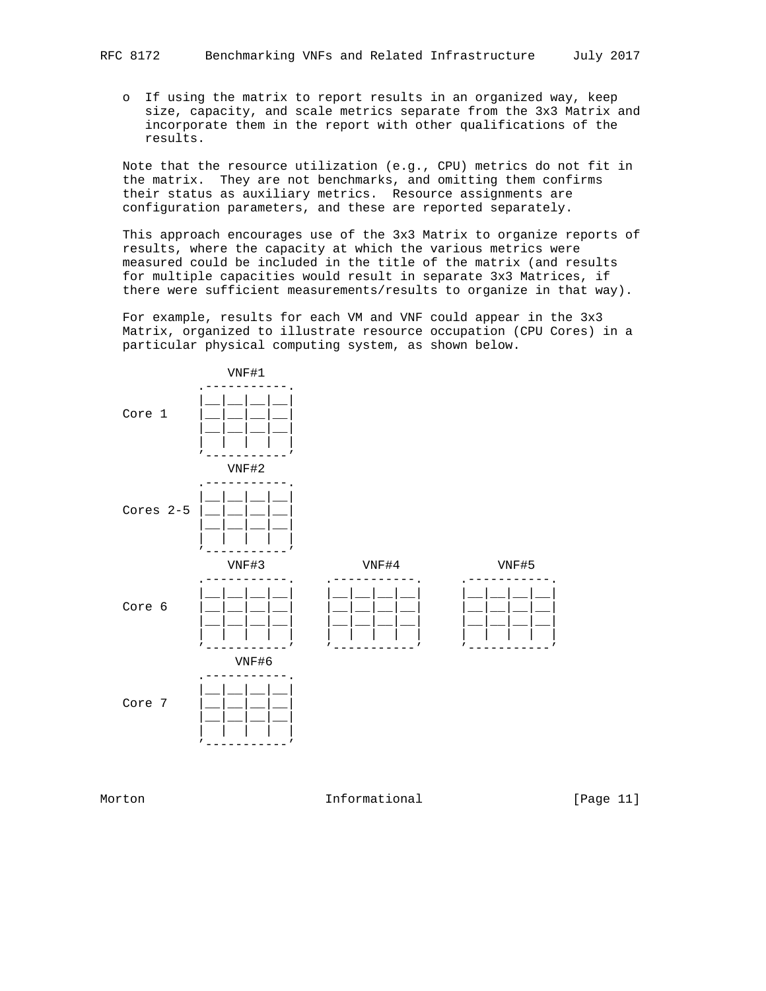o If using the matrix to report results in an organized way, keep size, capacity, and scale metrics separate from the 3x3 Matrix and incorporate them in the report with other qualifications of the results.

 Note that the resource utilization (e.g., CPU) metrics do not fit in the matrix. They are not benchmarks, and omitting them confirms their status as auxiliary metrics. Resource assignments are configuration parameters, and these are reported separately.

 This approach encourages use of the 3x3 Matrix to organize reports of results, where the capacity at which the various metrics were measured could be included in the title of the matrix (and results for multiple capacities would result in separate 3x3 Matrices, if there were sufficient measurements/results to organize in that way).

 For example, results for each VM and VNF could appear in the 3x3 Matrix, organized to illustrate resource occupation (CPU Cores) in a particular physical computing system, as shown below.



Morton **Informational Informational** [Page 11]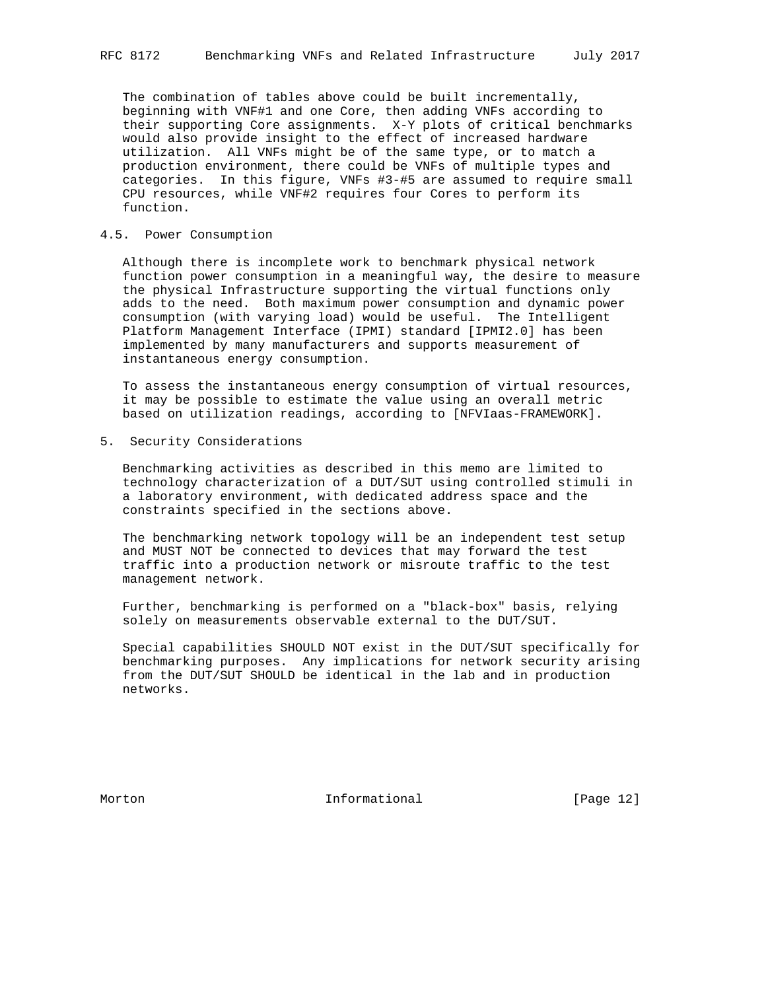The combination of tables above could be built incrementally, beginning with VNF#1 and one Core, then adding VNFs according to their supporting Core assignments. X-Y plots of critical benchmarks would also provide insight to the effect of increased hardware utilization. All VNFs might be of the same type, or to match a production environment, there could be VNFs of multiple types and categories. In this figure, VNFs #3-#5 are assumed to require small CPU resources, while VNF#2 requires four Cores to perform its function.

## 4.5. Power Consumption

 Although there is incomplete work to benchmark physical network function power consumption in a meaningful way, the desire to measure the physical Infrastructure supporting the virtual functions only adds to the need. Both maximum power consumption and dynamic power consumption (with varying load) would be useful. The Intelligent Platform Management Interface (IPMI) standard [IPMI2.0] has been implemented by many manufacturers and supports measurement of instantaneous energy consumption.

 To assess the instantaneous energy consumption of virtual resources, it may be possible to estimate the value using an overall metric based on utilization readings, according to [NFVIaas-FRAMEWORK].

5. Security Considerations

 Benchmarking activities as described in this memo are limited to technology characterization of a DUT/SUT using controlled stimuli in a laboratory environment, with dedicated address space and the constraints specified in the sections above.

 The benchmarking network topology will be an independent test setup and MUST NOT be connected to devices that may forward the test traffic into a production network or misroute traffic to the test management network.

 Further, benchmarking is performed on a "black-box" basis, relying solely on measurements observable external to the DUT/SUT.

 Special capabilities SHOULD NOT exist in the DUT/SUT specifically for benchmarking purposes. Any implications for network security arising from the DUT/SUT SHOULD be identical in the lab and in production networks.

Morton **Informational Informational** [Page 12]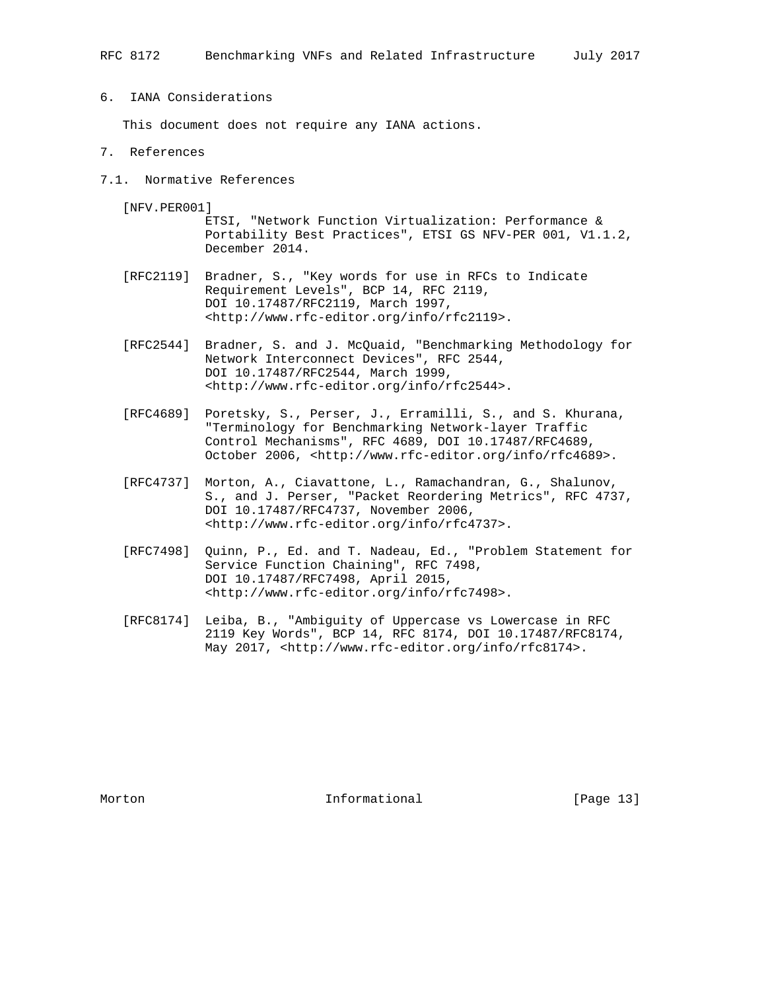# 6. IANA Considerations

This document does not require any IANA actions.

## 7. References

7.1. Normative References

[NFV.PER001]

 ETSI, "Network Function Virtualization: Performance & Portability Best Practices", ETSI GS NFV-PER 001, V1.1.2, December 2014.

- [RFC2119] Bradner, S., "Key words for use in RFCs to Indicate Requirement Levels", BCP 14, RFC 2119, DOI 10.17487/RFC2119, March 1997, <http://www.rfc-editor.org/info/rfc2119>.
- [RFC2544] Bradner, S. and J. McQuaid, "Benchmarking Methodology for Network Interconnect Devices", RFC 2544, DOI 10.17487/RFC2544, March 1999, <http://www.rfc-editor.org/info/rfc2544>.
- [RFC4689] Poretsky, S., Perser, J., Erramilli, S., and S. Khurana, "Terminology for Benchmarking Network-layer Traffic Control Mechanisms", RFC 4689, DOI 10.17487/RFC4689, October 2006, <http://www.rfc-editor.org/info/rfc4689>.
- [RFC4737] Morton, A., Ciavattone, L., Ramachandran, G., Shalunov, S., and J. Perser, "Packet Reordering Metrics", RFC 4737, DOI 10.17487/RFC4737, November 2006, <http://www.rfc-editor.org/info/rfc4737>.
- [RFC7498] Quinn, P., Ed. and T. Nadeau, Ed., "Problem Statement for Service Function Chaining", RFC 7498, DOI 10.17487/RFC7498, April 2015, <http://www.rfc-editor.org/info/rfc7498>.
- [RFC8174] Leiba, B., "Ambiguity of Uppercase vs Lowercase in RFC 2119 Key Words", BCP 14, RFC 8174, DOI 10.17487/RFC8174, May 2017, <http://www.rfc-editor.org/info/rfc8174>.

Morton **Informational Informational** [Page 13]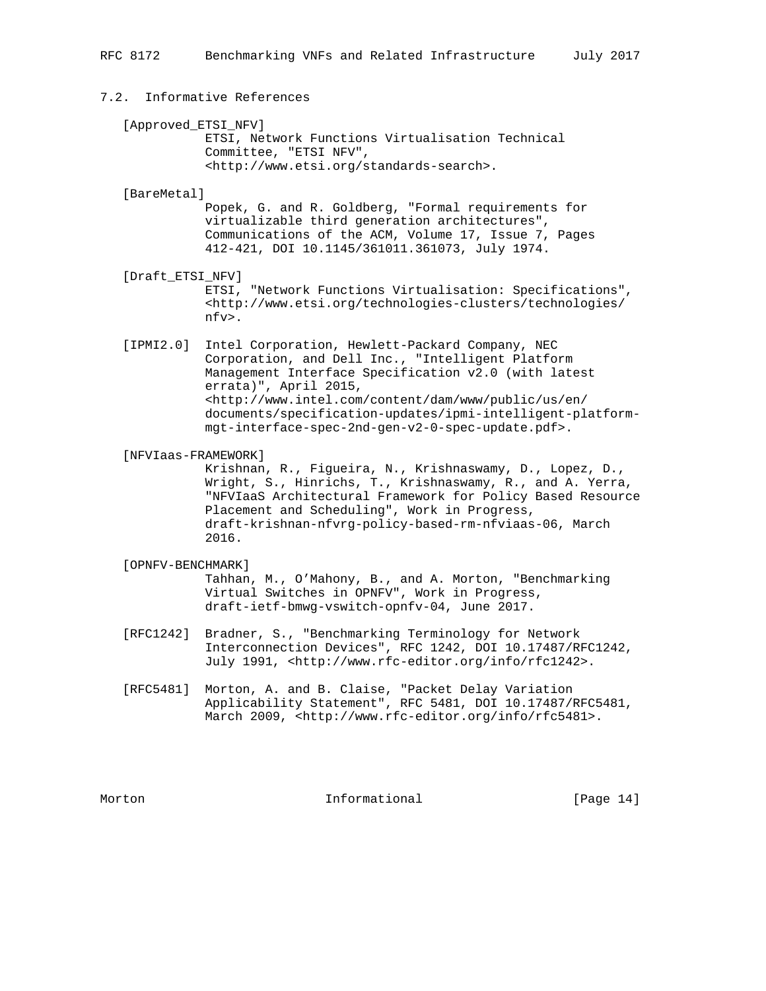# 7.2. Informative References

[Approved\_ETSI\_NFV]

 ETSI, Network Functions Virtualisation Technical Committee, "ETSI NFV", <http://www.etsi.org/standards-search>.

#### [BareMetal]

 Popek, G. and R. Goldberg, "Formal requirements for virtualizable third generation architectures", Communications of the ACM, Volume 17, Issue 7, Pages 412-421, DOI 10.1145/361011.361073, July 1974.

### [Draft\_ETSI\_NFV]

 ETSI, "Network Functions Virtualisation: Specifications", <http://www.etsi.org/technologies-clusters/technologies/ nfv>.

- [IPMI2.0] Intel Corporation, Hewlett-Packard Company, NEC Corporation, and Dell Inc., "Intelligent Platform Management Interface Specification v2.0 (with latest errata)", April 2015, <http://www.intel.com/content/dam/www/public/us/en/ documents/specification-updates/ipmi-intelligent-platform mgt-interface-spec-2nd-gen-v2-0-spec-update.pdf>.
- [NFVIaas-FRAMEWORK]

 Krishnan, R., Figueira, N., Krishnaswamy, D., Lopez, D., Wright, S., Hinrichs, T., Krishnaswamy, R., and A. Yerra, "NFVIaaS Architectural Framework for Policy Based Resource Placement and Scheduling", Work in Progress, draft-krishnan-nfvrg-policy-based-rm-nfviaas-06, March 2016.

## [OPNFV-BENCHMARK]

 Tahhan, M., O'Mahony, B., and A. Morton, "Benchmarking Virtual Switches in OPNFV", Work in Progress, draft-ietf-bmwg-vswitch-opnfv-04, June 2017.

- [RFC1242] Bradner, S., "Benchmarking Terminology for Network Interconnection Devices", RFC 1242, DOI 10.17487/RFC1242, July 1991, <http://www.rfc-editor.org/info/rfc1242>.
- [RFC5481] Morton, A. and B. Claise, "Packet Delay Variation Applicability Statement", RFC 5481, DOI 10.17487/RFC5481, March 2009, <http://www.rfc-editor.org/info/rfc5481>.

Morton **Informational Informational** [Page 14]